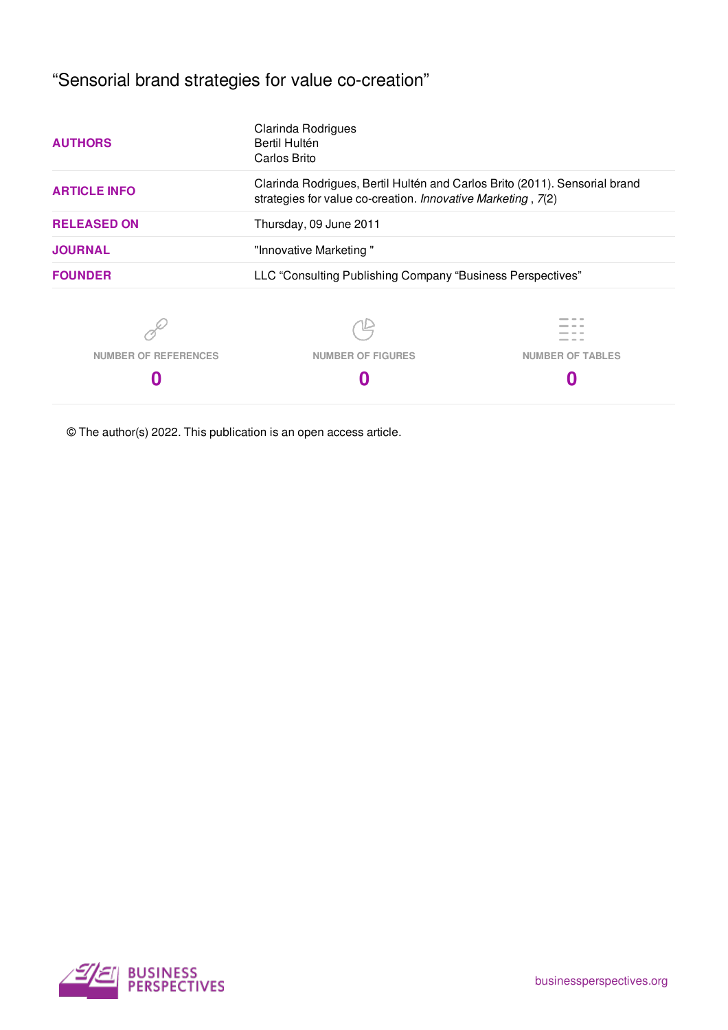"Sensorial brand strategies for value co-creation"

| <b>AUTHORS</b>              | Bertil Hultén<br>Carlos Brito                                                                                                              |                         |
|-----------------------------|--------------------------------------------------------------------------------------------------------------------------------------------|-------------------------|
| <b>ARTICLE INFO</b>         | Clarinda Rodrigues, Bertil Hultén and Carlos Brito (2011). Sensorial brand<br>strategies for value co-creation. Innovative Marketing, 7(2) |                         |
| <b>RELEASED ON</b>          | Thursday, 09 June 2011                                                                                                                     |                         |
| <b>JOURNAL</b>              | "Innovative Marketing"                                                                                                                     |                         |
| <b>FOUNDER</b>              | LLC "Consulting Publishing Company "Business Perspectives"                                                                                 |                         |
|                             |                                                                                                                                            |                         |
| <b>NUMBER OF REFERENCES</b> | <b>NUMBER OF FIGURES</b>                                                                                                                   | <b>NUMBER OF TABLES</b> |
|                             |                                                                                                                                            |                         |

© The author(s) 2022. This publication is an open access article.

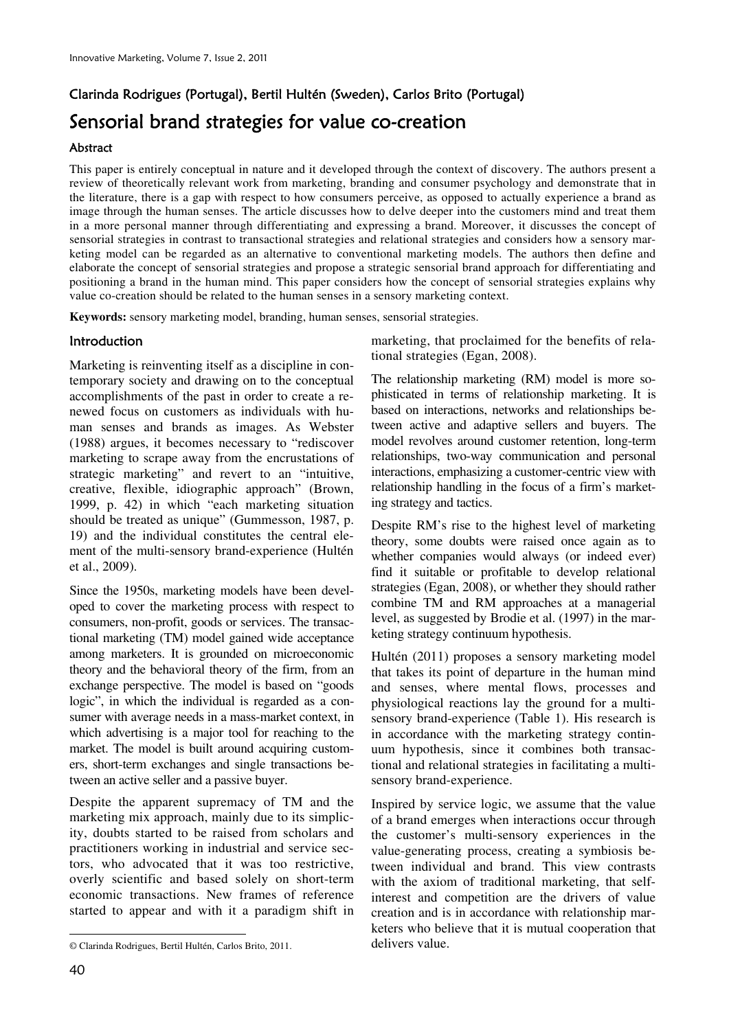# Clarinda Rodrigues (Portugal), Bertil Hultén (Sweden), Carlos Brito (Portugal) Sensorial brand strategies for value co-creation

### **Abstract**

This paper is entirely conceptual in nature and it developed through the context of discovery. The authors present a review of theoretically relevant work from marketing, branding and consumer psychology and demonstrate that in the literature, there is a gap with respect to how consumers perceive, as opposed to actually experience a brand as image through the human senses. The article discusses how to delve deeper into the customers mind and treat them in a more personal manner through differentiating and expressing a brand. Moreover, it discusses the concept of sensorial strategies in contrast to transactional strategies and relational strategies and considers how a sensory marketing model can be regarded as an alternative to conventional marketing models. The authors then define and elaborate the concept of sensorial strategies and propose a strategic sensorial brand approach for differentiating and positioning a brand in the human mind. This paper considers how the concept of sensorial strategies explains why value co-creation should be related to the human senses in a sensory marketing context.

**Keywords:** sensory marketing model, branding, human senses, sensorial strategies.

## **Introduction**

Marketing is reinventing itself as a discipline in contemporary society and drawing on to the conceptual accomplishments of the past in order to create a renewed focus on customers as individuals with human senses and brands as images. As Webster (1988) argues, it becomes necessary to "rediscover marketing to scrape away from the encrustations of strategic marketing" and revert to an "intuitive, creative, flexible, idiographic approach" (Brown, 1999, p. 42) in which "each marketing situation should be treated as unique" (Gummesson, 1987, p. 19) and the individual constitutes the central element of the multi-sensory brand-experience (Hultén et al., 2009).

Since the 1950s, marketing models have been developed to cover the marketing process with respect to consumers, non-profit, goods or services. The transactional marketing (TM) model gained wide acceptance among marketers. It is grounded on microeconomic theory and the behavioral theory of the firm, from an exchange perspective. The model is based on "goods logic", in which the individual is regarded as a consumer with average needs in a mass-market context, in which advertising is a major tool for reaching to the market. The model is built around acquiring customers, short-term exchanges and single transactions between an active seller and a passive buyer.

Despite the apparent supremacy of TM and the marketing mix approach, mainly due to its simplicity, doubts started to be raised from scholars and practitioners working in industrial and service sectors, who advocated that it was too restrictive, overly scientific and based solely on short-term economic transactions. New frames of reference started to appear and with it a paradigm shift in

marketing, that proclaimed for the benefits of relational strategies (Egan, 2008).

The relationship marketing (RM) model is more sophisticated in terms of relationship marketing. It is based on interactions, networks and relationships between active and adaptive sellers and buyers. The model revolves around customer retention, long-term relationships, two-way communication and personal interactions, emphasizing a customer-centric view with relationship handling in the focus of a firm's marketing strategy and tactics.

Despite RM's rise to the highest level of marketing theory, some doubts were raised once again as to whether companies would always (or indeed ever) find it suitable or profitable to develop relational strategies (Egan, 2008), or whether they should rather combine TM and RM approaches at a managerial level, as suggested by Brodie et al. (1997) in the marketing strategy continuum hypothesis.

Hultén (2011) proposes a sensory marketing model that takes its point of departure in the human mind and senses, where mental flows, processes and physiological reactions lay the ground for a multisensory brand-experience (Table 1). His research is in accordance with the marketing strategy continuum hypothesis, since it combines both transactional and relational strategies in facilitating a multisensory brand-experience.

Inspired by service logic, we assume that the value of a brand emerges when interactions occur through the customer's multi-sensory experiences in the value-generating process, creating a symbiosis between individual and brand. This view contrasts with the axiom of traditional marketing, that selfinterest and competition are the drivers of value creation and is in accordance with relationship marketers who believe that it is mutual cooperation that delivers value.

 $\overline{a}$ 

<sup>©</sup> Clarinda Rodrigues, Bertil Hultén, Carlos Brito, 2011.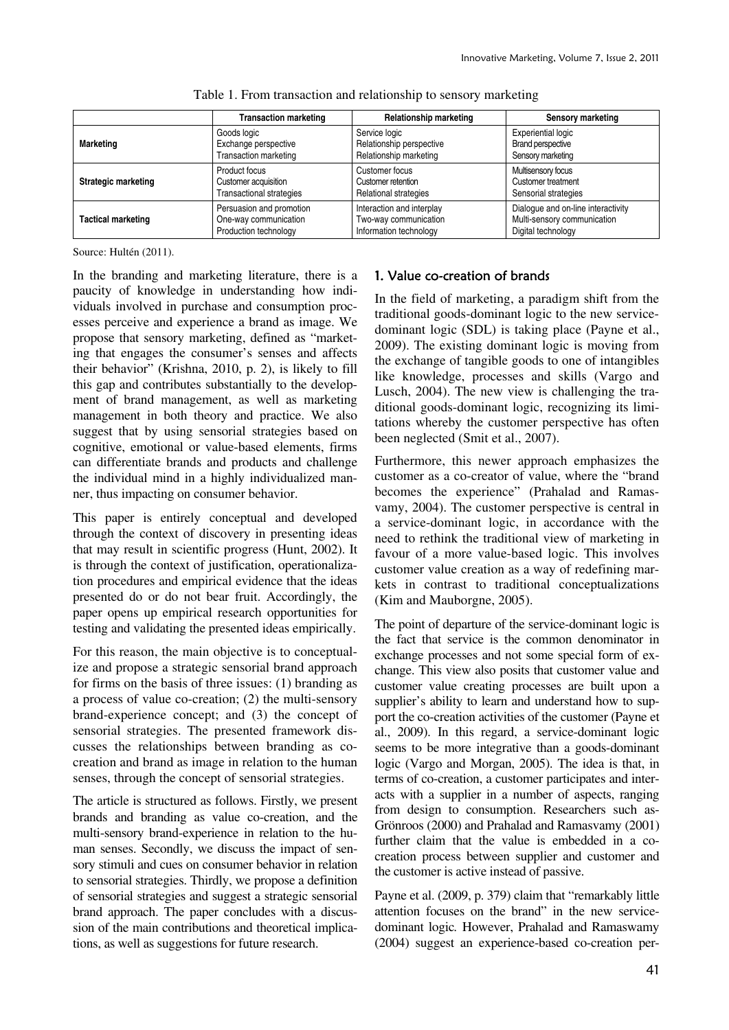|                            | <b>Transaction marketing</b>    | Relationship marketing       | Sensory marketing                  |
|----------------------------|---------------------------------|------------------------------|------------------------------------|
| <b>Marketing</b>           | Goods logic                     | Service logic                | Experiential logic                 |
|                            | Exchange perspective            | Relationship perspective     | <b>Brand perspective</b>           |
|                            | <b>Transaction marketing</b>    | Relationship marketing       | Sensory marketing                  |
| <b>Strategic marketing</b> | Product focus                   | Customer focus               | Multisensory focus                 |
|                            | Customer acquisition            | Customer retention           | Customer treatment                 |
|                            | <b>Transactional strategies</b> | <b>Relational strategies</b> | Sensorial strategies               |
| <b>Tactical marketing</b>  | Persuasion and promotion        | Interaction and interplay    | Dialogue and on-line interactivity |
|                            | One-way communication           | Two-way communication        | Multi-sensory communication        |
|                            | Production technology           | Information technology       | Digital technology                 |

| Table 1. From transaction and relationship to sensory marketing |
|-----------------------------------------------------------------|
|-----------------------------------------------------------------|

Source: Hultén (2011).

In the branding and marketing literature, there is a paucity of knowledge in understanding how individuals involved in purchase and consumption processes perceive and experience a brand as image. We propose that sensory marketing, defined as "marketing that engages the consumer's senses and affects their behavior" (Krishna, 2010, p. 2), is likely to fill this gap and contributes substantially to the development of brand management, as well as marketing management in both theory and practice. We also suggest that by using sensorial strategies based on cognitive, emotional or value-based elements, firms can differentiate brands and products and challenge the individual mind in a highly individualized manner, thus impacting on consumer behavior.

This paper is entirely conceptual and developed through the context of discovery in presenting ideas that may result in scientific progress (Hunt, 2002). It is through the context of justification, operationalization procedures and empirical evidence that the ideas presented do or do not bear fruit. Accordingly, the paper opens up empirical research opportunities for testing and validating the presented ideas empirically.

For this reason, the main objective is to conceptualize and propose a strategic sensorial brand approach for firms on the basis of three issues: (1) branding as a process of value co-creation; (2) the multi-sensory brand-experience concept; and (3) the concept of sensorial strategies. The presented framework discusses the relationships between branding as cocreation and brand as image in relation to the human senses, through the concept of sensorial strategies.

The article is structured as follows. Firstly, we present brands and branding as value co-creation, and the multi-sensory brand-experience in relation to the human senses. Secondly, we discuss the impact of sensory stimuli and cues on consumer behavior in relation to sensorial strategies. Thirdly, we propose a definition of sensorial strategies and suggest a strategic sensorial brand approach. The paper concludes with a discussion of the main contributions and theoretical implications, as well as suggestions for future research.

# 1. Value co-creation of brands

In the field of marketing, a paradigm shift from the traditional goods-dominant logic to the new servicedominant logic (SDL) is taking place (Payne et al., 2009). The existing dominant logic is moving from the exchange of tangible goods to one of intangibles like knowledge, processes and skills (Vargo and Lusch, 2004). The new view is challenging the traditional goods-dominant logic, recognizing its limitations whereby the customer perspective has often been neglected (Smit et al., 2007).

Furthermore, this newer approach emphasizes the customer as a co-creator of value, where the "brand becomes the experience" (Prahalad and Ramasvamy, 2004). The customer perspective is central in a service-dominant logic, in accordance with the need to rethink the traditional view of marketing in favour of a more value-based logic. This involves customer value creation as a way of redefining markets in contrast to traditional conceptualizations (Kim and Mauborgne, 2005).

The point of departure of the service-dominant logic is the fact that service is the common denominator in exchange processes and not some special form of exchange. This view also posits that customer value and customer value creating processes are built upon a supplier's ability to learn and understand how to support the co-creation activities of the customer (Payne et al., 2009). In this regard, a service-dominant logic seems to be more integrative than a goods-dominant logic (Vargo and Morgan, 2005). The idea is that, in terms of co-creation, a customer participates and interacts with a supplier in a number of aspects, ranging from design to consumption. Researchers such as-Grönroos (2000) and Prahalad and Ramasvamy (2001) further claim that the value is embedded in a cocreation process between supplier and customer and the customer is active instead of passive.

Payne et al. (2009, p. 379) claim that "remarkably little attention focuses on the brand" in the new servicedominant logic*.* However, Prahalad and Ramaswamy (2004) suggest an experience-based co-creation per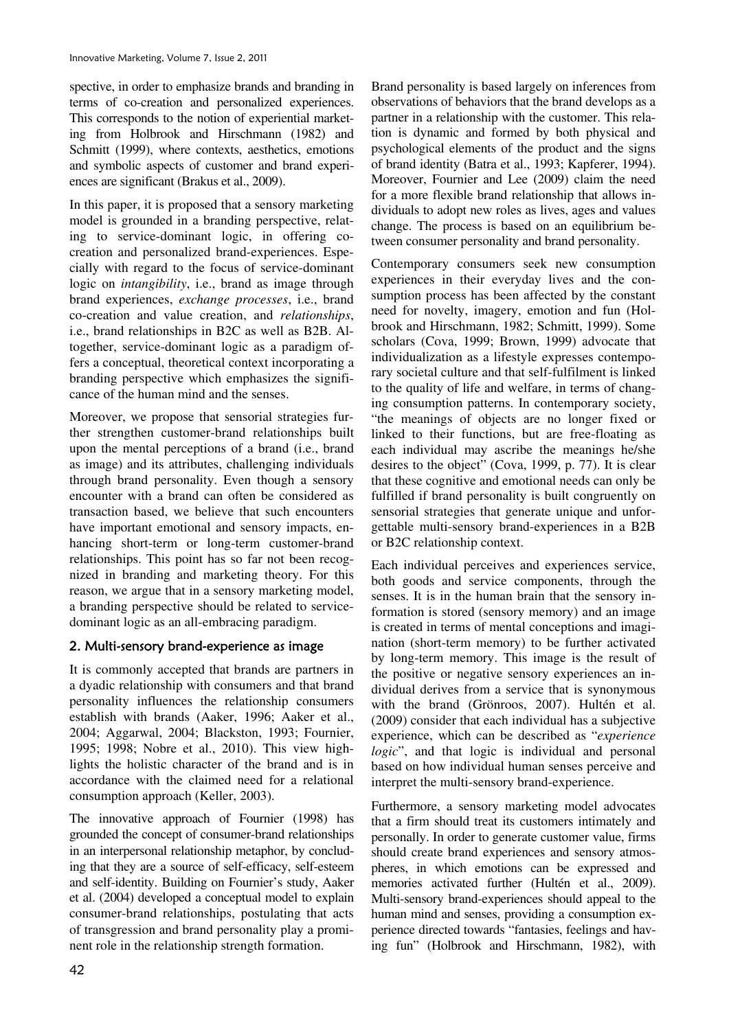spective, in order to emphasize brands and branding in terms of co-creation and personalized experiences. This corresponds to the notion of experiential marketing from Holbrook and Hirschmann (1982) and Schmitt (1999), where contexts, aesthetics, emotions and symbolic aspects of customer and brand experiences are significant (Brakus et al., 2009).

In this paper, it is proposed that a sensory marketing model is grounded in a branding perspective, relating to service-dominant logic, in offering cocreation and personalized brand-experiences. Especially with regard to the focus of service-dominant logic on *intangibility*, i.e., brand as image through brand experiences, *exchange processes*, i.e., brand co-creation and value creation, and *relationships*, i.e., brand relationships in B2C as well as B2B. Altogether, service-dominant logic as a paradigm offers a conceptual, theoretical context incorporating a branding perspective which emphasizes the significance of the human mind and the senses.

Moreover, we propose that sensorial strategies further strengthen customer-brand relationships built upon the mental perceptions of a brand (i.e., brand as image) and its attributes, challenging individuals through brand personality. Even though a sensory encounter with a brand can often be considered as transaction based, we believe that such encounters have important emotional and sensory impacts, enhancing short-term or long-term customer-brand relationships. This point has so far not been recognized in branding and marketing theory. For this reason, we argue that in a sensory marketing model, a branding perspective should be related to servicedominant logic as an all-embracing paradigm.

# 2. Multi-sensory brand-experience as image

It is commonly accepted that brands are partners in a dyadic relationship with consumers and that brand personality influences the relationship consumers establish with brands (Aaker, 1996; Aaker et al., 2004; Aggarwal, 2004; Blackston, 1993; Fournier, 1995; 1998; Nobre et al., 2010). This view highlights the holistic character of the brand and is in accordance with the claimed need for a relational consumption approach (Keller, 2003).

The innovative approach of Fournier (1998) has grounded the concept of consumer-brand relationships in an interpersonal relationship metaphor, by concluding that they are a source of self-efficacy, self-esteem and self-identity. Building on Fournier's study, Aaker et al. (2004) developed a conceptual model to explain consumer-brand relationships, postulating that acts of transgression and brand personality play a prominent role in the relationship strength formation.

Brand personality is based largely on inferences from observations of behaviors that the brand develops as a partner in a relationship with the customer. This relation is dynamic and formed by both physical and psychological elements of the product and the signs of brand identity (Batra et al., 1993; Kapferer, 1994). Moreover, Fournier and Lee (2009) claim the need for a more flexible brand relationship that allows individuals to adopt new roles as lives, ages and values change. The process is based on an equilibrium between consumer personality and brand personality.

Contemporary consumers seek new consumption experiences in their everyday lives and the consumption process has been affected by the constant need for novelty, imagery, emotion and fun (Holbrook and Hirschmann, 1982; Schmitt, 1999). Some scholars (Cova, 1999; Brown, 1999) advocate that individualization as a lifestyle expresses contemporary societal culture and that self-fulfilment is linked to the quality of life and welfare, in terms of changing consumption patterns. In contemporary society, "the meanings of objects are no longer fixed or linked to their functions, but are free-floating as each individual may ascribe the meanings he/she desires to the object" (Cova, 1999, p. 77). It is clear that these cognitive and emotional needs can only be fulfilled if brand personality is built congruently on sensorial strategies that generate unique and unforgettable multi-sensory brand-experiences in a B2B or B2C relationship context.

Each individual perceives and experiences service, both goods and service components, through the senses. It is in the human brain that the sensory information is stored (sensory memory) and an image is created in terms of mental conceptions and imagination (short-term memory) to be further activated by long-term memory. This image is the result of the positive or negative sensory experiences an individual derives from a service that is synonymous with the brand (Grönroos, 2007). Hultén et al. (2009) consider that each individual has a subjective experience, which can be described as "*experience logic*", and that logic is individual and personal based on how individual human senses perceive and interpret the multi-sensory brand-experience.

Furthermore, a sensory marketing model advocates that a firm should treat its customers intimately and personally. In order to generate customer value, firms should create brand experiences and sensory atmospheres, in which emotions can be expressed and memories activated further (Hultén et al., 2009). Multi-sensory brand-experiences should appeal to the human mind and senses, providing a consumption experience directed towards "fantasies, feelings and having fun" (Holbrook and Hirschmann, 1982), with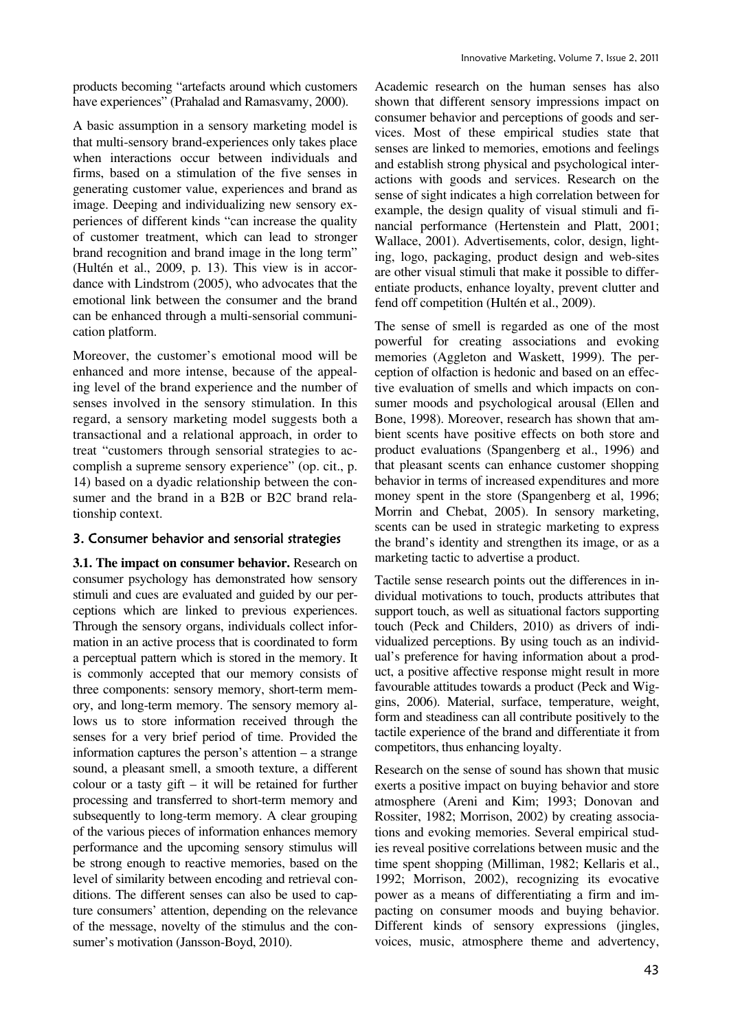products becoming "artefacts around which customers have experiences" (Prahalad and Ramasvamy, 2000).

A basic assumption in a sensory marketing model is that multi-sensory brand-experiences only takes place when interactions occur between individuals and firms, based on a stimulation of the five senses in generating customer value, experiences and brand as image. Deeping and individualizing new sensory experiences of different kinds "can increase the quality of customer treatment, which can lead to stronger brand recognition and brand image in the long term" (Hultén et al., 2009, p. 13). This view is in accordance with Lindstrom (2005), who advocates that the emotional link between the consumer and the brand can be enhanced through a multi-sensorial communication platform.

Moreover, the customer's emotional mood will be enhanced and more intense, because of the appealing level of the brand experience and the number of senses involved in the sensory stimulation. In this regard, a sensory marketing model suggests both a transactional and a relational approach, in order to treat "customers through sensorial strategies to accomplish a supreme sensory experience" (op. cit., p. 14) based on a dyadic relationship between the consumer and the brand in a B2B or B2C brand relationship context.

#### 3. Consumer behavior and sensorial strategies

**3.1. The impact on consumer behavior.** Research on consumer psychology has demonstrated how sensory stimuli and cues are evaluated and guided by our perceptions which are linked to previous experiences. Through the sensory organs, individuals collect information in an active process that is coordinated to form a perceptual pattern which is stored in the memory. It is commonly accepted that our memory consists of three components: sensory memory, short-term memory, and long-term memory. The sensory memory allows us to store information received through the senses for a very brief period of time. Provided the information captures the person's attention – a strange sound, a pleasant smell, a smooth texture, a different colour or a tasty gift  $-$  it will be retained for further processing and transferred to short-term memory and subsequently to long-term memory. A clear grouping of the various pieces of information enhances memory performance and the upcoming sensory stimulus will be strong enough to reactive memories, based on the level of similarity between encoding and retrieval conditions. The different senses can also be used to capture consumers' attention, depending on the relevance of the message, novelty of the stimulus and the consumer's motivation (Jansson-Boyd, 2010).

Academic research on the human senses has also shown that different sensory impressions impact on consumer behavior and perceptions of goods and services. Most of these empirical studies state that senses are linked to memories, emotions and feelings and establish strong physical and psychological interactions with goods and services. Research on the sense of sight indicates a high correlation between for example, the design quality of visual stimuli and financial performance (Hertenstein and Platt, 2001; Wallace, 2001). Advertisements, color, design, lighting, logo, packaging, product design and web-sites are other visual stimuli that make it possible to differentiate products, enhance loyalty, prevent clutter and fend off competition (Hultén et al., 2009).

The sense of smell is regarded as one of the most powerful for creating associations and evoking memories (Aggleton and Waskett, 1999). The perception of olfaction is hedonic and based on an effective evaluation of smells and which impacts on consumer moods and psychological arousal (Ellen and Bone, 1998). Moreover, research has shown that ambient scents have positive effects on both store and product evaluations (Spangenberg et al., 1996) and that pleasant scents can enhance customer shopping behavior in terms of increased expenditures and more money spent in the store (Spangenberg et al, 1996; Morrin and Chebat, 2005). In sensory marketing, scents can be used in strategic marketing to express the brand's identity and strengthen its image, or as a marketing tactic to advertise a product.

Tactile sense research points out the differences in individual motivations to touch, products attributes that support touch, as well as situational factors supporting touch (Peck and Childers, 2010) as drivers of individualized perceptions. By using touch as an individual's preference for having information about a product, a positive affective response might result in more favourable attitudes towards a product (Peck and Wiggins, 2006). Material, surface, temperature, weight, form and steadiness can all contribute positively to the tactile experience of the brand and differentiate it from competitors, thus enhancing loyalty.

Research on the sense of sound has shown that music exerts a positive impact on buying behavior and store atmosphere (Areni and Kim; 1993; Donovan and Rossiter, 1982; Morrison, 2002) by creating associations and evoking memories. Several empirical studies reveal positive correlations between music and the time spent shopping (Milliman, 1982; Kellaris et al., 1992; Morrison, 2002), recognizing its evocative power as a means of differentiating a firm and impacting on consumer moods and buying behavior. Different kinds of sensory expressions (jingles, voices, music, atmosphere theme and advertency,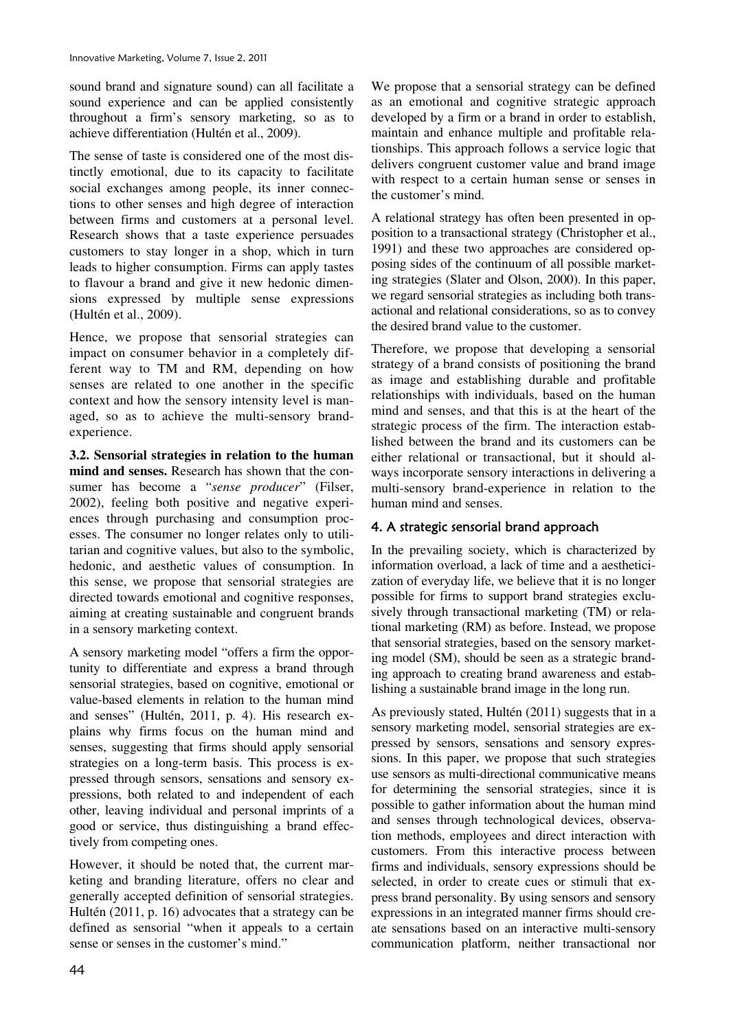sound brand and signature sound) can all facilitate a sound experience and can be applied consistently throughout a firm's sensory marketing, so as to achieve differentiation (Hultén et al., 2009).

The sense of taste is considered one of the most distinctly emotional, due to its capacity to facilitate social exchanges among people, its inner connections to other senses and high degree of interaction between firms and customers at a personal level. Research shows that a taste experience persuades customers to stay longer in a shop, which in turn leads to higher consumption. Firms can apply tastes to flavour a brand and give it new hedonic dimensions expressed by multiple sense expressions (Hultén et al., 2009).

Hence, we propose that sensorial strategies can impact on consumer behavior in a completely different way to TM and RM, depending on how senses are related to one another in the specific context and how the sensory intensity level is managed, so as to achieve the multi-sensory brandexperience.

**3.2. Sensorial strategies in relation to the human mind and senses.** Research has shown that the consumer has become a "*sense producer*" (Filser, 2002), feeling both positive and negative experiences through purchasing and consumption processes. The consumer no longer relates only to utilitarian and cognitive values, but also to the symbolic, hedonic, and aesthetic values of consumption. In this sense, we propose that sensorial strategies are directed towards emotional and cognitive responses, aiming at creating sustainable and congruent brands in a sensory marketing context.

A sensory marketing model "offers a firm the opportunity to differentiate and express a brand through sensorial strategies, based on cognitive, emotional or value-based elements in relation to the human mind and senses" (Hultén, 2011, p. 4). His research explains why firms focus on the human mind and senses, suggesting that firms should apply sensorial strategies on a long-term basis. This process is expressed through sensors, sensations and sensory expressions, both related to and independent of each other, leaving individual and personal imprints of a good or service, thus distinguishing a brand effectively from competing ones.

However, it should be noted that, the current marketing and branding literature, offers no clear and generally accepted definition of sensorial strategies. Hultén (2011, p. 16) advocates that a strategy can be defined as sensorial "when it appeals to a certain sense or senses in the customer's mind."

We propose that a sensorial strategy can be defined as an emotional and cognitive strategic approach developed by a firm or a brand in order to establish, maintain and enhance multiple and profitable relationships. This approach follows a service logic that delivers congruent customer value and brand image with respect to a certain human sense or senses in the customer's mind.

A relational strategy has often been presented in opposition to a transactional strategy (Christopher et al., 1991) and these two approaches are considered opposing sides of the continuum of all possible marketing strategies (Slater and Olson, 2000). In this paper, we regard sensorial strategies as including both transactional and relational considerations, so as to convey the desired brand value to the customer.

Therefore, we propose that developing a sensorial strategy of a brand consists of positioning the brand as image and establishing durable and profitable relationships with individuals, based on the human mind and senses, and that this is at the heart of the strategic process of the firm. The interaction established between the brand and its customers can be either relational or transactional, but it should always incorporate sensory interactions in delivering a multi-sensory brand-experience in relation to the human mind and senses.

# 4. A strategic sensorial brand approach

In the prevailing society, which is characterized by information overload, a lack of time and a aestheticization of everyday life, we believe that it is no longer possible for firms to support brand strategies exclusively through transactional marketing (TM) or relational marketing (RM) as before. Instead, we propose that sensorial strategies, based on the sensory marketing model (SM), should be seen as a strategic branding approach to creating brand awareness and establishing a sustainable brand image in the long run.

As previously stated, Hultén (2011) suggests that in a sensory marketing model, sensorial strategies are expressed by sensors, sensations and sensory expressions. In this paper, we propose that such strategies use sensors as multi-directional communicative means for determining the sensorial strategies, since it is possible to gather information about the human mind and senses through technological devices, observation methods, employees and direct interaction with customers. From this interactive process between firms and individuals, sensory expressions should be selected, in order to create cues or stimuli that express brand personality. By using sensors and sensory expressions in an integrated manner firms should create sensations based on an interactive multi-sensory communication platform, neither transactional nor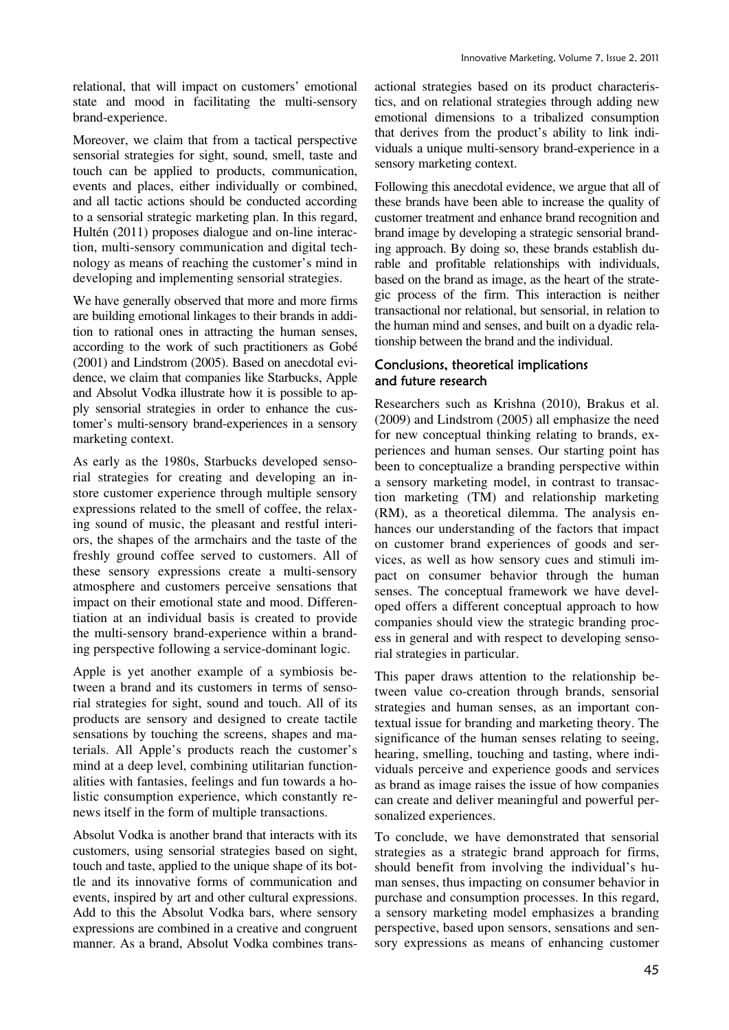relational, that will impact on customers' emotional state and mood in facilitating the multi-sensory brand-experience.

Moreover, we claim that from a tactical perspective sensorial strategies for sight, sound, smell, taste and touch can be applied to products, communication, events and places, either individually or combined, and all tactic actions should be conducted according to a sensorial strategic marketing plan. In this regard, Hultén (2011) proposes dialogue and on-line interaction, multi-sensory communication and digital technology as means of reaching the customer's mind in developing and implementing sensorial strategies.

We have generally observed that more and more firms are building emotional linkages to their brands in addition to rational ones in attracting the human senses, according to the work of such practitioners as Gobé (2001) and Lindstrom (2005). Based on anecdotal evidence, we claim that companies like Starbucks, Apple and Absolut Vodka illustrate how it is possible to apply sensorial strategies in order to enhance the customer's multi-sensory brand-experiences in a sensory marketing context.

As early as the 1980s, Starbucks developed sensorial strategies for creating and developing an instore customer experience through multiple sensory expressions related to the smell of coffee, the relaxing sound of music, the pleasant and restful interiors, the shapes of the armchairs and the taste of the freshly ground coffee served to customers. All of these sensory expressions create a multi-sensory atmosphere and customers perceive sensations that impact on their emotional state and mood. Differentiation at an individual basis is created to provide the multi-sensory brand-experience within a branding perspective following a service-dominant logic.

Apple is yet another example of a symbiosis between a brand and its customers in terms of sensorial strategies for sight, sound and touch. All of its products are sensory and designed to create tactile sensations by touching the screens, shapes and materials. All Apple's products reach the customer's mind at a deep level, combining utilitarian functionalities with fantasies, feelings and fun towards a holistic consumption experience, which constantly renews itself in the form of multiple transactions.

Absolut Vodka is another brand that interacts with its customers, using sensorial strategies based on sight, touch and taste, applied to the unique shape of its bottle and its innovative forms of communication and events, inspired by art and other cultural expressions. Add to this the Absolut Vodka bars, where sensory expressions are combined in a creative and congruent manner. As a brand, Absolut Vodka combines transactional strategies based on its product characteristics, and on relational strategies through adding new emotional dimensions to a tribalized consumption that derives from the product's ability to link individuals a unique multi-sensory brand-experience in a sensory marketing context.

Following this anecdotal evidence, we argue that all of these brands have been able to increase the quality of customer treatment and enhance brand recognition and brand image by developing a strategic sensorial branding approach. By doing so, these brands establish durable and profitable relationships with individuals, based on the brand as image, as the heart of the strategic process of the firm. This interaction is neither transactional nor relational, but sensorial, in relation to the human mind and senses, and built on a dyadic relationship between the brand and the individual.

#### Conclusions, theoretical implications and future research

Researchers such as Krishna (2010), Brakus et al. (2009) and Lindstrom (2005) all emphasize the need for new conceptual thinking relating to brands, experiences and human senses. Our starting point has been to conceptualize a branding perspective within a sensory marketing model, in contrast to transaction marketing (TM) and relationship marketing (RM), as a theoretical dilemma. The analysis enhances our understanding of the factors that impact on customer brand experiences of goods and services, as well as how sensory cues and stimuli impact on consumer behavior through the human senses. The conceptual framework we have developed offers a different conceptual approach to how companies should view the strategic branding process in general and with respect to developing sensorial strategies in particular.

This paper draws attention to the relationship between value co-creation through brands, sensorial strategies and human senses, as an important contextual issue for branding and marketing theory. The significance of the human senses relating to seeing, hearing, smelling, touching and tasting, where individuals perceive and experience goods and services as brand as image raises the issue of how companies can create and deliver meaningful and powerful personalized experiences.

To conclude, we have demonstrated that sensorial strategies as a strategic brand approach for firms, should benefit from involving the individual's human senses, thus impacting on consumer behavior in purchase and consumption processes. In this regard, a sensory marketing model emphasizes a branding perspective, based upon sensors, sensations and sensory expressions as means of enhancing customer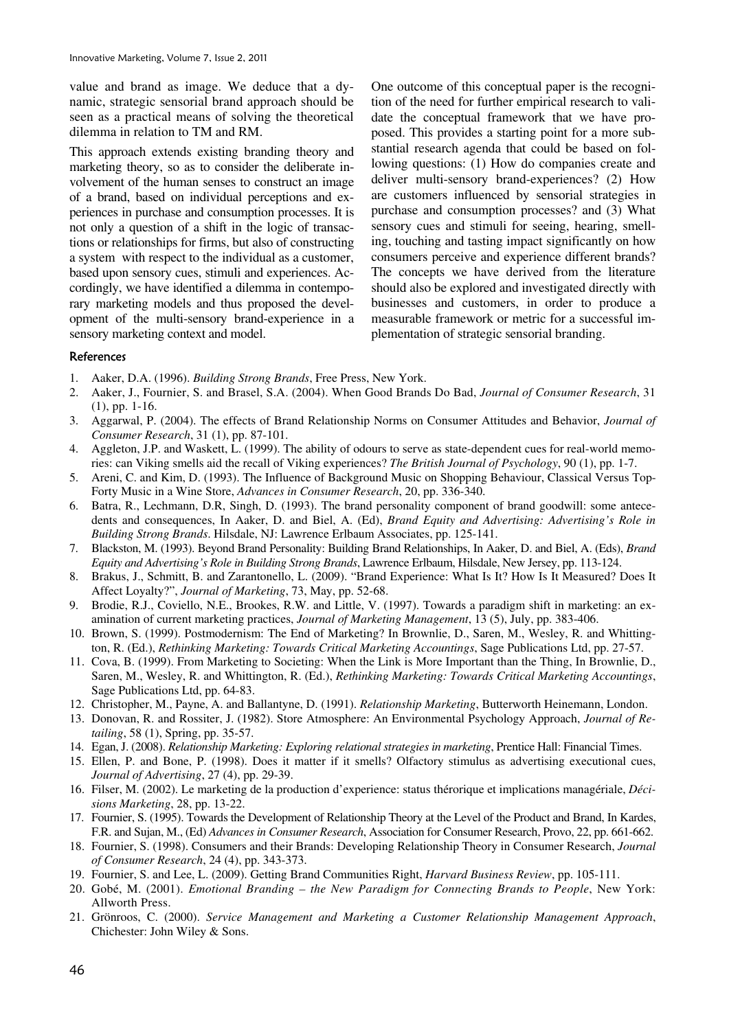value and brand as image. We deduce that a dynamic, strategic sensorial brand approach should be seen as a practical means of solving the theoretical dilemma in relation to TM and RM.

This approach extends existing branding theory and marketing theory, so as to consider the deliberate involvement of the human senses to construct an image of a brand, based on individual perceptions and experiences in purchase and consumption processes. It is not only a question of a shift in the logic of transactions or relationships for firms, but also of constructing a system with respect to the individual as a customer, based upon sensory cues, stimuli and experiences. Accordingly, we have identified a dilemma in contemporary marketing models and thus proposed the development of the multi-sensory brand-experience in a sensory marketing context and model.

One outcome of this conceptual paper is the recognition of the need for further empirical research to validate the conceptual framework that we have proposed. This provides a starting point for a more substantial research agenda that could be based on following questions: (1) How do companies create and deliver multi-sensory brand-experiences? (2) How are customers influenced by sensorial strategies in purchase and consumption processes? and (3) What sensory cues and stimuli for seeing, hearing, smelling, touching and tasting impact significantly on how consumers perceive and experience different brands? The concepts we have derived from the literature should also be explored and investigated directly with businesses and customers, in order to produce a measurable framework or metric for a successful implementation of strategic sensorial branding.

#### References

- 1. Aaker, D.A. (1996). *Building Strong Brands*, Free Press, New York.
- 2. Aaker, J., Fournier, S. and Brasel, S.A. (2004). When Good Brands Do Bad, *Journal of Consumer Research*, 31 (1), pp. 1-16.
- 3. Aggarwal, P. (2004). The effects of Brand Relationship Norms on Consumer Attitudes and Behavior, *Journal of Consumer Research*, 31 (1), pp. 87-101.
- 4. Aggleton, J.P. and Waskett, L. (1999). The ability of odours to serve as state-dependent cues for real-world memories: can Viking smells aid the recall of Viking experiences? *The British Journal of Psychology*, 90 (1), pp. 1-7.
- 5. Areni, C. and Kim, D. (1993). The Influence of Background Music on Shopping Behaviour, Classical Versus Top-Forty Music in a Wine Store, *Advances in Consumer Research*, 20, pp. 336-340.
- 6. Batra, R., Lechmann, D.R, Singh, D. (1993). The brand personality component of brand goodwill: some antecedents and consequences, In Aaker, D. and Biel, A. (Ed), *Brand Equity and Advertising: Advertising's Role in Building Strong Brands*. Hilsdale, NJ: Lawrence Erlbaum Associates, pp. 125-141.
- 7. Blackston, M. (1993). Beyond Brand Personality: Building Brand Relationships, In Aaker, D. and Biel, A. (Eds), *Brand Equity and Advertising's Role in Building Strong Brands*, Lawrence Erlbaum, Hilsdale, New Jersey, pp. 113-124.
- 8. Brakus, J., Schmitt, B. and Zarantonello, L. (2009). "Brand Experience: What Is It? How Is It Measured? Does It Affect Loyalty?", *Journal of Marketing*, 73, May, pp. 52-68.
- 9. Brodie, R.J., Coviello, N.E., Brookes, R.W. and Little, V. (1997). Towards a paradigm shift in marketing: an examination of current marketing practices, *Journal of Marketing Management*, 13 (5), July, pp. 383-406.
- 10. Brown, S. (1999). Postmodernism: The End of Marketing? In Brownlie, D., Saren, M., Wesley, R. and Whittington, R. (Ed.), *Rethinking Marketing: Towards Critical Marketing Accountings*, Sage Publications Ltd, pp. 27-57.
- 11. Cova, B. (1999). From Marketing to Societing: When the Link is More Important than the Thing, In Brownlie, D., Saren, M., Wesley, R. and Whittington, R. (Ed.), *Rethinking Marketing: Towards Critical Marketing Accountings*, Sage Publications Ltd, pp. 64-83.
- 12. Christopher, M., Payne, A. and Ballantyne, D. (1991). *Relationship Marketing*, Butterworth Heinemann, London.
- 13. Donovan, R. and Rossiter, J. (1982). Store Atmosphere: An Environmental Psychology Approach, *Journal of Retailing*, 58 (1), Spring, pp. 35-57.
- 14. Egan, J. (2008). *Relationship Marketing: Exploring relational strategies in marketing*, Prentice Hall: Financial Times.
- 15. Ellen, P. and Bone, P. (1998). Does it matter if it smells? Olfactory stimulus as advertising executional cues, *Journal of Advertising*, 27 (4), pp. 29-39.
- 16. Filser, M. (2002). Le marketing de la production d'experience: status thérorique et implications managériale, *Décisions Marketing*, 28, pp. 13-22.
- 17. Fournier, S. (1995). Towards the Development of Relationship Theory at the Level of the Product and Brand, In Kardes, F.R. and Sujan, M., (Ed) *Advances in Consumer Research*, Association for Consumer Research, Provo, 22, pp. 661-662.
- 18. Fournier, S. (1998). Consumers and their Brands: Developing Relationship Theory in Consumer Research, *Journal of Consumer Research*, 24 (4), pp. 343-373.
- 19. Fournier, S. and Lee, L. (2009). Getting Brand Communities Right, *Harvard Business Review*, pp. 105-111.
- 20. Gobé, M. (2001). *Emotional Branding the New Paradigm for Connecting Brands to People*, New York: Allworth Press.
- 21. Grönroos, C. (2000). *Service Management and Marketing a Customer Relationship Management Approach*, Chichester: John Wiley & Sons.